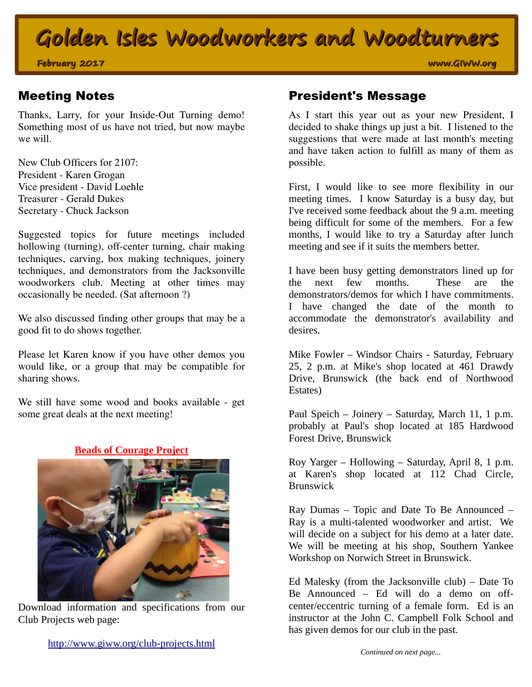## **Golden Isles Woodworkers and Woodturners**

**February 2017 www.GIWW.org**

Thanks, Larry, for your Inside-Out Turning demo! Something most of us have not tried, but now maybe we will.

New Club Officers for 2107: President - Karen Grogan Vice president - David Loehle Treasurer - Gerald Dukes Secretary - Chuck Jackson

Suggested topics for future meetings included hollowing (turning), off-center turning, chair making techniques, carving, box making techniques, joinery techniques, and demonstrators from the Jacksonville woodworkers club. Meeting at other times may occasionally be needed. (Sat afternoon ?)

We also discussed finding other groups that may be a good fit to do shows together.

Please let Karen know if you have other demos you would like, or a group that may be compatible for sharing shows.

We still have some wood and books available - get some great deals at the next meeting!





Download information and specifications from our Club Projects web page:

#### Meeting Notes **President's Message**

As I start this year out as your new President, I decided to shake things up just a bit. I listened to the suggestions that were made at last month's meeting and have taken action to fulfill as many of them as possible.

First, I would like to see more flexibility in our meeting times. I know Saturday is a busy day, but I've received some feedback about the 9 a.m. meeting being difficult for some of the members. For a few months, I would like to try a Saturday after lunch meeting and see if it suits the members better.

I have been busy getting demonstrators lined up for the next few months. These are the demonstrators/demos for which I have commitments. I have changed the date of the month to accommodate the demonstrator's availability and desires.

Mike Fowler – Windsor Chairs - Saturday, February 25, 2 p.m. at Mike's shop located at 461 Drawdy Drive, Brunswick (the back end of Northwood Estates)

Paul Speich – Joinery – Saturday, March 11, 1 p.m. probably at Paul's shop located at 185 Hardwood Forest Drive, Brunswick

Roy Yarger – Hollowing – Saturday, April 8, 1 p.m. at Karen's shop located at 112 Chad Circle, Brunswick

Ray Dumas – Topic and Date To Be Announced – Ray is a multi-talented woodworker and artist. We will decide on a subject for his demo at a later date. We will be meeting at his shop, Southern Yankee Workshop on Norwich Street in Brunswick.

Ed Malesky (from the Jacksonville club) – Date To Be Announced – Ed will do a demo on offcenter/eccentric turning of a female form. Ed is an instructor at the John C. Campbell Folk School and has given demos for our club in the past.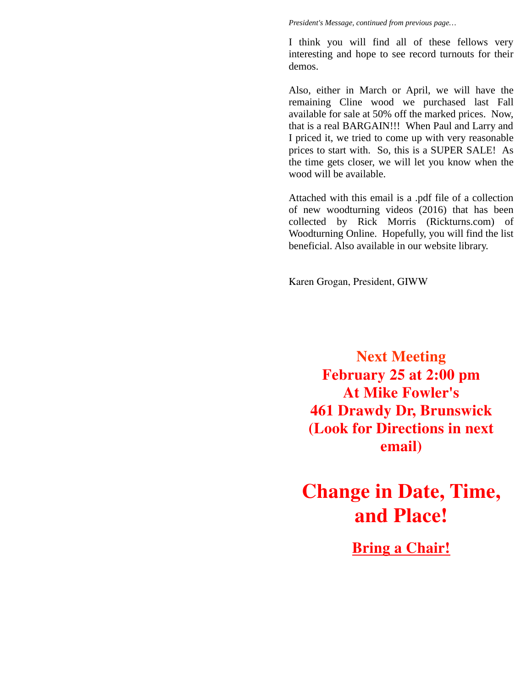*President's Message, continued from previous page…*

I think you will find all of these fellows very interesting and hope to see record turnouts for their demos.

Also, either in March or April, we will have the remaining Cline wood we purchased last Fall available for sale at 50% off the marked prices. Now, that is a real BARGAIN!!! When Paul and Larry and I priced it, we tried to come up with very reasonable prices to start with. So, this is a SUPER SALE! As the time gets closer, we will let you know when the wood will be available.

Attached with this email is a .pdf file of a collection of new woodturning videos (2016) that has been collected by Rick Morris (Rickturns.com) of Woodturning Online. Hopefully, you will find the list beneficial. Also available in our website library.

Karen Grogan, President, GIWW

**Next Meeting February 25 at 2:00 pm At Mike Fowler's 461 Drawdy Dr, Brunswick (Look for Directions in next email)**

**Change in Date, Time, and Place!**

**Bring a Chair!**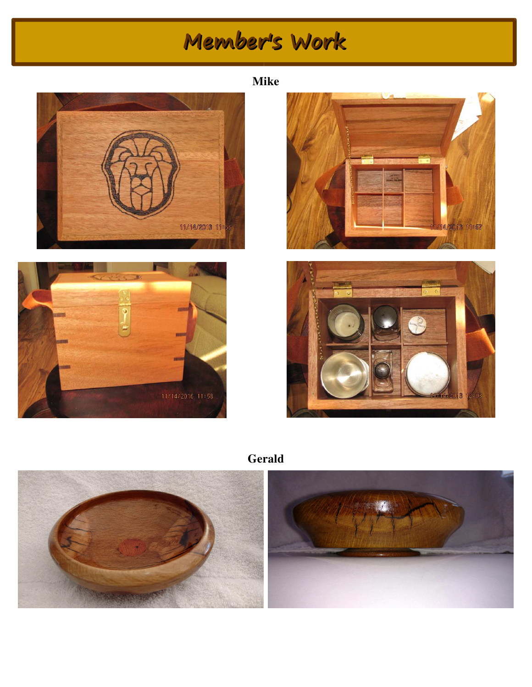# **Member's Work**









**Gerald**